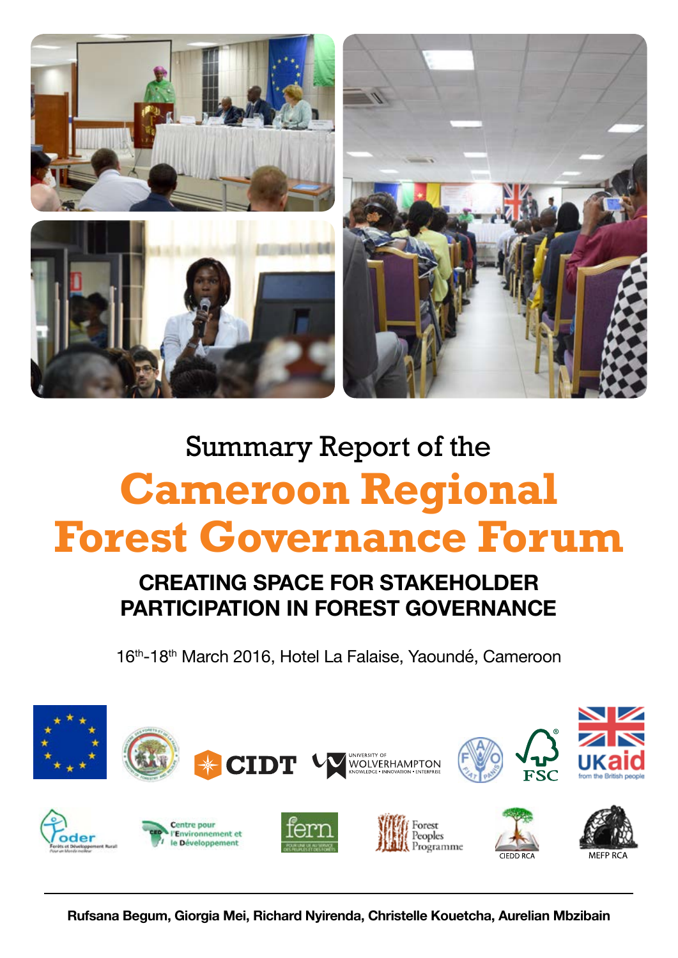

# Summary Report of the **Cameroon Regional Forest Governance Forum**

## **CREATING SPACE FOR STAKEHOLDER PARTICIPATION IN FOREST GOVERNANCE**

16<sup>th</sup>-18<sup>th</sup> March 2016, Hotel La Falaise, Yaoundé, Cameroon

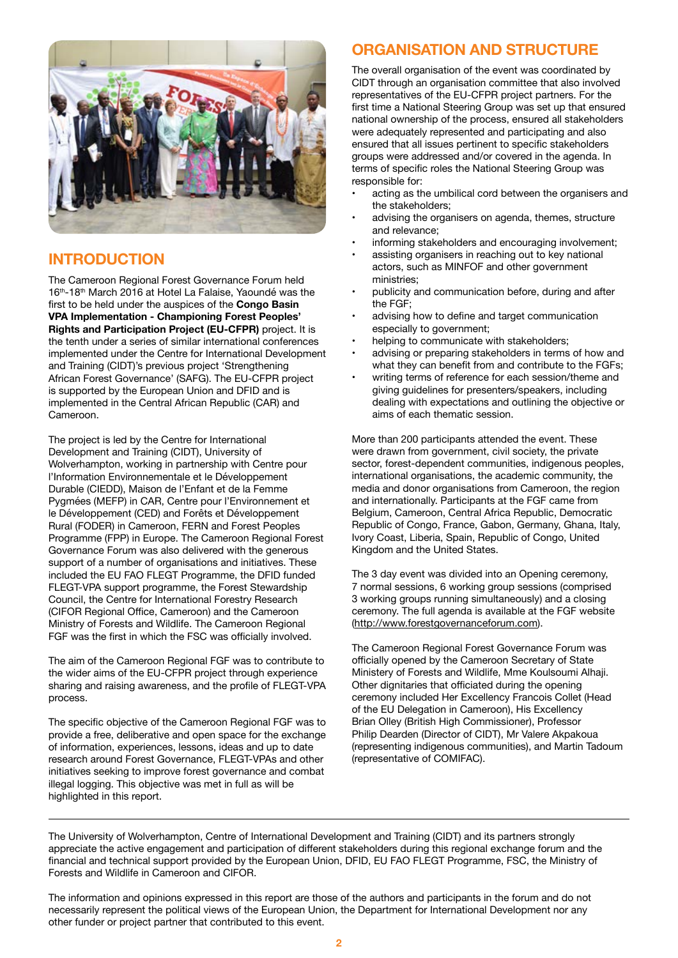

## **INTRODUCTION**

The Cameroon Regional Forest Governance Forum held 16<sup>th</sup>-18<sup>th</sup> March 2016 at Hotel La Falaise, Yaoundé was the first to be held under the auspices of the **Congo Basin VPA Implementation - Championing Forest Peoples' Rights and Participation Project (EU-CFPR)** project. It is the tenth under a series of similar international conferences implemented under the Centre for International Development and Training (CIDT)'s previous project 'Strengthening African Forest Governance' (SAFG). The EU-CFPR project is supported by the European Union and DFID and is implemented in the Central African Republic (CAR) and Cameroon.

The project is led by the Centre for International Development and Training (CIDT), University of Wolverhampton, working in partnership with Centre pour l'Information Environnementale et le Développement Durable (CIEDD), Maison de l'Enfant et de la Femme Pygmées (MEFP) in CAR, Centre pour l'Environnement et le Développement (CED) and Forêts et Développement Rural (FODER) in Cameroon, FERN and Forest Peoples Programme (FPP) in Europe. The Cameroon Regional Forest Governance Forum was also delivered with the generous support of a number of organisations and initiatives. These included the EU FAO FLEGT Programme, the DFID funded FLEGT-VPA support programme, the Forest Stewardship Council, the Centre for International Forestry Research (CIFOR Regional Office, Cameroon) and the Cameroon Ministry of Forests and Wildlife. The Cameroon Regional FGF was the first in which the FSC was officially involved.

The aim of the Cameroon Regional FGF was to contribute to the wider aims of the EU-CFPR project through experience sharing and raising awareness, and the profile of FLEGT-VPA process.

The specific objective of the Cameroon Regional FGF was to provide a free, deliberative and open space for the exchange of information, experiences, lessons, ideas and up to date research around Forest Governance, FLEGT-VPAs and other initiatives seeking to improve forest governance and combat illegal logging. This objective was met in full as will be highlighted in this report.

## **ORGANISATION AND STRUCTURE**

The overall organisation of the event was coordinated by CIDT through an organisation committee that also involved representatives of the EU-CFPR project partners. For the first time a National Steering Group was set up that ensured national ownership of the process, ensured all stakeholders were adequately represented and participating and also ensured that all issues pertinent to specific stakeholders groups were addressed and/or covered in the agenda. In terms of specific roles the National Steering Group was responsible for:

- acting as the umbilical cord between the organisers and the stakeholders;
- advising the organisers on agenda, themes, structure and relevance;
- informing stakeholders and encouraging involvement;
- assisting organisers in reaching out to key national actors, such as MINFOF and other government ministries;
- publicity and communication before, during and after the FGF;
- advising how to define and target communication especially to government;
- helping to communicate with stakeholders;
- advising or preparing stakeholders in terms of how and what they can benefit from and contribute to the FGFs;
- writing terms of reference for each session/theme and giving guidelines for presenters/speakers, including dealing with expectations and outlining the objective or aims of each thematic session.

More than 200 participants attended the event. These were drawn from government, civil society, the private sector, forest-dependent communities, indigenous peoples, international organisations, the academic community, the media and donor organisations from Cameroon, the region and internationally. Participants at the FGF came from Belgium, Cameroon, Central Africa Republic, Democratic Republic of Congo, France, Gabon, Germany, Ghana, Italy, Ivory Coast, Liberia, Spain, Republic of Congo, United Kingdom and the United States.

The 3 day event was divided into an Opening ceremony, 7 normal sessions, 6 working group sessions (comprised 3 working groups running simultaneously) and a closing ceremony. The full agenda is available at the FGF website (http://www.forestgovernanceforum.com).

The Cameroon Regional Forest Governance Forum was officially opened by the Cameroon Secretary of State Ministery of Forests and Wildlife, Mme Koulsoumi Alhaji. Other dignitaries that officiated during the opening ceremony included Her Excellency Francois Collet (Head of the EU Delegation in Cameroon), His Excellency Brian Olley (British High Commissioner), Professor Philip Dearden (Director of CIDT), Mr Valere Akpakoua (representing indigenous communities), and Martin Tadoum (representative of COMIFAC).

The University of Wolverhampton, Centre of International Development and Training (CIDT) and its partners strongly appreciate the active engagement and participation of different stakeholders during this regional exchange forum and the financial and technical support provided by the European Union, DFID, EU FAO FLEGT Programme, FSC, the Ministry of Forests and Wildlife in Cameroon and CIFOR.

The information and opinions expressed in this report are those of the authors and participants in the forum and do not necessarily represent the political views of the European Union, the Department for International Development nor any other funder or project partner that contributed to this event.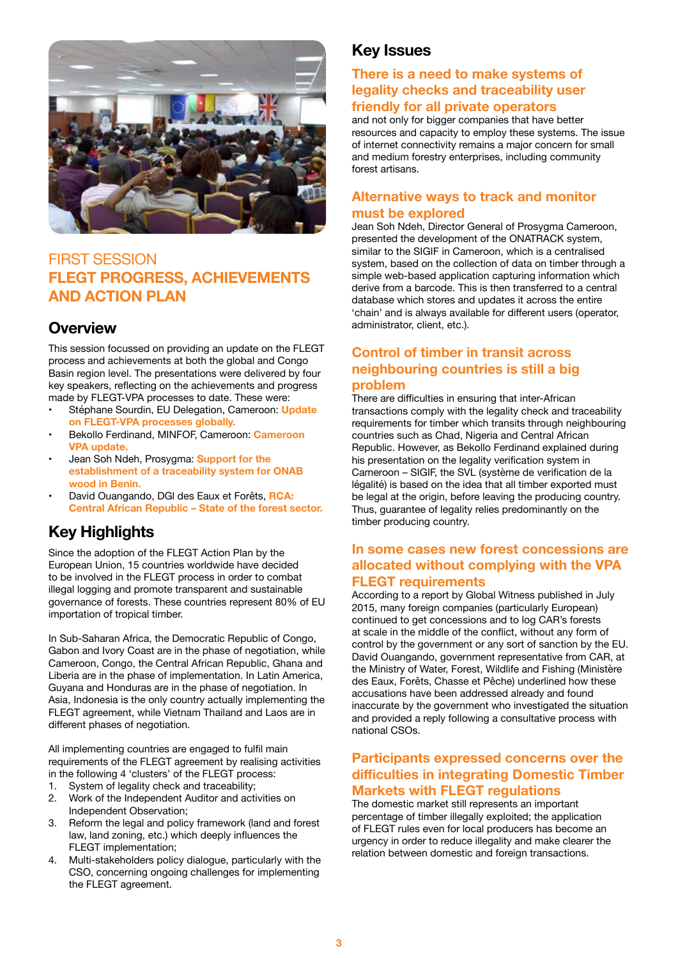

## FIRST SESSION **FLEGT PROGRESS, ACHIEVEMENTS AND ACTION PLAN**

## **Overview**

This session focussed on providing an update on the FLEGT process and achievements at both the global and Congo Basin region level. The presentations were delivered by four key speakers, reflecting on the achievements and progress made by FLEGT-VPA processes to date. These were:

- Stéphane Sourdin, EU Delegation, Cameroon: **Update on FLEGT-VPA processes globally.**
- Bekollo Ferdinand, MINFOF, Cameroon: **Cameroon VPA update.**
- Jean Soh Ndeh, Prosygma: **Support for the establishment of a traceability system for ONAB wood in Benin.**
- David Ouangando, DGl des Eaux et Forêts, **RCA: Central African Republic – State of the forest sector.**

## **Key Highlights**

Since the adoption of the FLEGT Action Plan by the European Union, 15 countries worldwide have decided to be involved in the FLEGT process in order to combat illegal logging and promote transparent and sustainable governance of forests. These countries represent 80% of EU importation of tropical timber.

In Sub-Saharan Africa, the Democratic Republic of Congo, Gabon and Ivory Coast are in the phase of negotiation, while Cameroon, Congo, the Central African Republic, Ghana and Liberia are in the phase of implementation. In Latin America, Guyana and Honduras are in the phase of negotiation. In Asia, Indonesia is the only country actually implementing the FLEGT agreement, while Vietnam Thailand and Laos are in different phases of negotiation.

All implementing countries are engaged to fulfil main requirements of the FLEGT agreement by realising activities in the following 4 'clusters' of the FLEGT process:<br>1. System of legality check and traceability:

- System of legality check and traceability;
- 2. Work of the Independent Auditor and activities on Independent Observation;
- 3. Reform the legal and policy framework (land and forest law, land zoning, etc.) which deeply influences the FLEGT implementation;
- 4. Multi-stakeholders policy dialogue, particularly with the CSO, concerning ongoing challenges for implementing the FLEGT agreement.

## **Key Issues**

#### **There is a need to make systems of legality checks and traceability user friendly for all private operators**

and not only for bigger companies that have better resources and capacity to employ these systems. The issue of internet connectivity remains a major concern for small and medium forestry enterprises, including community forest artisans.

#### **Alternative ways to track and monitor must be explored**

Jean Soh Ndeh, Director General of Prosygma Cameroon, presented the development of the ONATRACK system, similar to the SIGIF in Cameroon, which is a centralised system, based on the collection of data on timber through a simple web-based application capturing information which derive from a barcode. This is then transferred to a central database which stores and updates it across the entire 'chain' and is always available for different users (operator, administrator, client, etc.).

#### **Control of timber in transit across neighbouring countries is still a big problem**

There are difficulties in ensuring that inter-African transactions comply with the legality check and traceability requirements for timber which transits through neighbouring countries such as Chad, Nigeria and Central African Republic. However, as Bekollo Ferdinand explained during his presentation on the legality verification system in Cameroon – SIGIF, the SVL (système de verification de la légalité) is based on the idea that all timber exported must be legal at the origin, before leaving the producing country. Thus, guarantee of legality relies predominantly on the timber producing country.

#### **In some cases new forest concessions are allocated without complying with the VPA FLEGT requirements**

According to a report by Global Witness published in July 2015, many foreign companies (particularly European) continued to get concessions and to log CAR's forests at scale in the middle of the conflict, without any form of control by the government or any sort of sanction by the EU. David Ouangando, government representative from CAR, at the Ministry of Water, Forest, Wildlife and Fishing (Ministère des Eaux, Forêts, Chasse et Pêche) underlined how these accusations have been addressed already and found inaccurate by the government who investigated the situation and provided a reply following a consultative process with national CSOs.

#### **Participants expressed concerns over the difficulties in integrating Domestic Timber Markets with FLEGT regulations**

The domestic market still represents an important percentage of timber illegally exploited; the application of FLEGT rules even for local producers has become an urgency in order to reduce illegality and make clearer the relation between domestic and foreign transactions.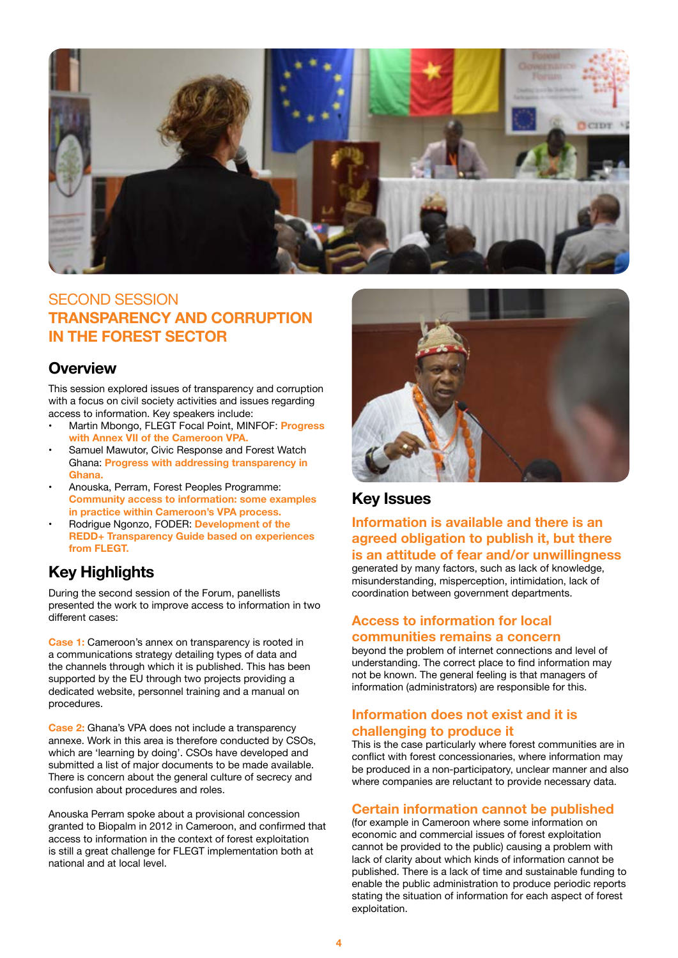

## SECOND SESSION **TRANSPARENCY AND CORRUPTION IN THE FOREST SECTOR**

#### **Overview**

This session explored issues of transparency and corruption with a focus on civil society activities and issues regarding access to information. Key speakers include:

- Martin Mbongo, FLEGT Focal Point, MINFOF: **Progress with Annex VII of the Cameroon VPA.**
- Samuel Mawutor, Civic Response and Forest Watch Ghana: **Progress with addressing transparency in Ghana.**
- Anouska, Perram, Forest Peoples Programme: **Community access to information: some examples in practice within Cameroon's VPA process.**
- Rodrigue Ngonzo, FODER: **Development of the REDD+ Transparency Guide based on experiences from FLEGT.**

## **Key Highlights**

During the second session of the Forum, panellists presented the work to improve access to information in two different cases:

**Case 1:** Cameroon's annex on transparency is rooted in a communications strategy detailing types of data and the channels through which it is published. This has been supported by the EU through two projects providing a dedicated website, personnel training and a manual on procedures.

**Case 2:** Ghana's VPA does not include a transparency annexe. Work in this area is therefore conducted by CSOs, which are 'learning by doing'. CSOs have developed and submitted a list of major documents to be made available. There is concern about the general culture of secrecy and confusion about procedures and roles.

Anouska Perram spoke about a provisional concession granted to Biopalm in 2012 in Cameroon, and confirmed that access to information in the context of forest exploitation is still a great challenge for FLEGT implementation both at national and at local level.



#### **Key Issues**

**Information is available and there is an agreed obligation to publish it, but there is an attitude of fear and/or unwillingness** generated by many factors, such as lack of knowledge, misunderstanding, misperception, intimidation, lack of coordination between government departments.

#### **Access to information for local communities remains a concern**

beyond the problem of internet connections and level of understanding. The correct place to find information may not be known. The general feeling is that managers of information (administrators) are responsible for this.

#### **Information does not exist and it is challenging to produce it**

This is the case particularly where forest communities are in conflict with forest concessionaries, where information may be produced in a non-participatory, unclear manner and also where companies are reluctant to provide necessary data.

#### **Certain information cannot be published**

(for example in Cameroon where some information on economic and commercial issues of forest exploitation cannot be provided to the public) causing a problem with lack of clarity about which kinds of information cannot be published. There is a lack of time and sustainable funding to enable the public administration to produce periodic reports stating the situation of information for each aspect of forest exploitation.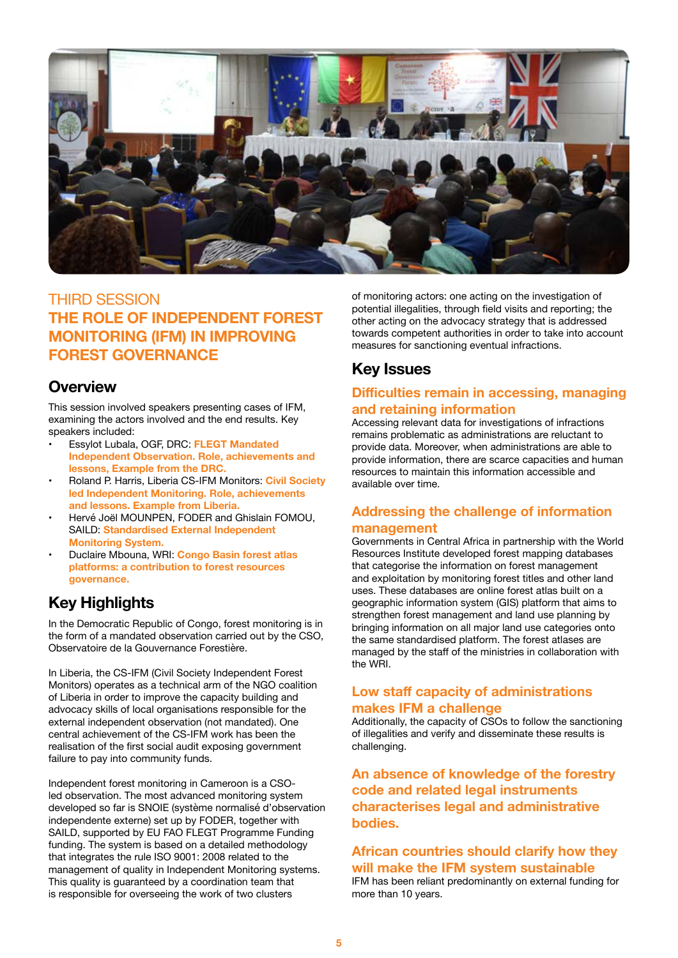

## THIRD SESSION **THE ROLE OF INDEPENDENT FOREST MONITORING (IFM) IN IMPROVING FOREST GOVERNANCE**

#### **Overview**

This session involved speakers presenting cases of IFM, examining the actors involved and the end results. Key speakers included:

- Essylot Lubala, OGF, DRC: **FLEGT Mandated Independent Observation. Role, achievements and lessons, Example from the DRC.**
- Roland P. Harris, Liberia CS-IFM Monitors: **Civil Society led Independent Monitoring. Role, achievements and lessons. Example from Liberia.**
- Hervé Joël MOUNPEN, FODER and Ghislain FOMOU, SAILD: **Standardised External Independent Monitoring System.**
- Duclaire Mbouna, WRI: **Congo Basin forest atlas platforms: a contribution to forest resources governance.**

## **Key Highlights**

In the Democratic Republic of Congo, forest monitoring is in the form of a mandated observation carried out by the CSO, Observatoire de la Gouvernance Forestière.

In Liberia, the CS-IFM (Civil Society Independent Forest Monitors) operates as a technical arm of the NGO coalition of Liberia in order to improve the capacity building and advocacy skills of local organisations responsible for the external independent observation (not mandated). One central achievement of the CS-IFM work has been the realisation of the first social audit exposing government failure to pay into community funds.

Independent forest monitoring in Cameroon is a CSOled observation. The most advanced monitoring system developed so far is SNOIE (système normalisé d'observation independente externe) set up by FODER, together with SAILD, supported by EU FAO FLEGT Programme Funding funding. The system is based on a detailed methodology that integrates the rule ISO 9001: 2008 related to the management of quality in Independent Monitoring systems. This quality is guaranteed by a coordination team that is responsible for overseeing the work of two clusters

of monitoring actors: one acting on the investigation of potential illegalities, through field visits and reporting; the other acting on the advocacy strategy that is addressed towards competent authorities in order to take into account measures for sanctioning eventual infractions.

## **Key Issues**

#### **Difficulties remain in accessing, managing and retaining information**

Accessing relevant data for investigations of infractions remains problematic as administrations are reluctant to provide data. Moreover, when administrations are able to provide information, there are scarce capacities and human resources to maintain this information accessible and available over time.

#### **Addressing the challenge of information management**

Governments in Central Africa in partnership with the World Resources Institute developed forest mapping databases that categorise the information on forest management and exploitation by monitoring forest titles and other land uses. These databases are online forest atlas built on a geographic information system (GIS) platform that aims to strengthen forest management and land use planning by bringing information on all major land use categories onto the same standardised platform. The forest atlases are managed by the staff of the ministries in collaboration with the WRI.

#### **Low staff capacity of administrations makes IFM a challenge**

Additionally, the capacity of CSOs to follow the sanctioning of illegalities and verify and disseminate these results is challenging.

**An absence of knowledge of the forestry code and related legal instruments characterises legal and administrative bodies.** 

#### **African countries should clarify how they will make the IFM system sustainable** IFM has been reliant predominantly on external funding for

more than 10 years.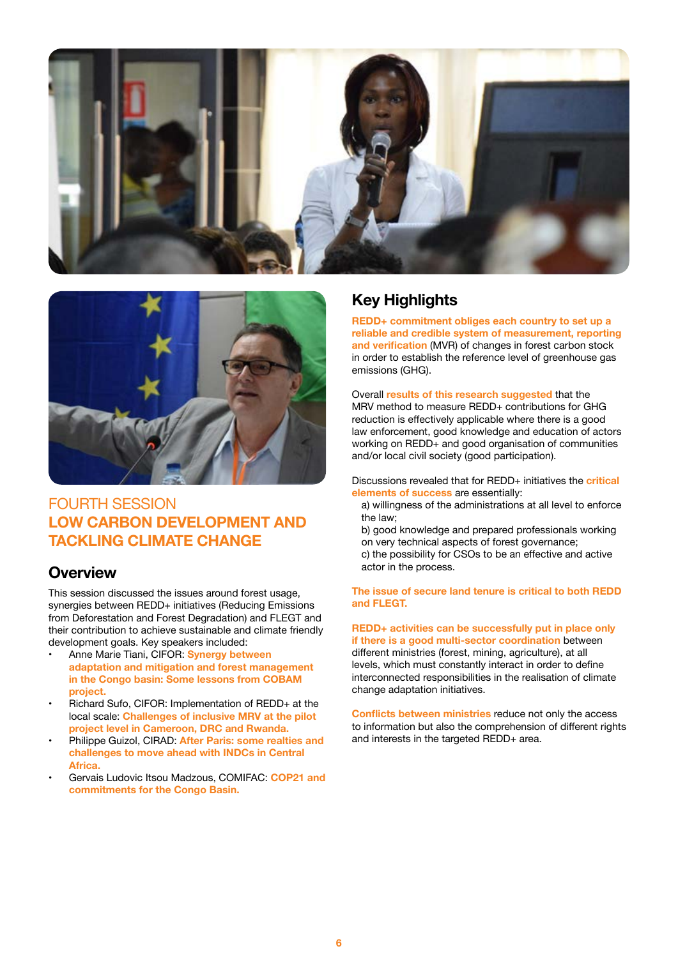



## FOURTH SESSION **LOW CARBON DEVELOPMENT AND TACKLING CLIMATE CHANGE**

#### **Overview**

This session discussed the issues around forest usage, synergies between REDD+ initiatives (Reducing Emissions from Deforestation and Forest Degradation) and FLEGT and their contribution to achieve sustainable and climate friendly development goals. Key speakers included:

- Anne Marie Tiani, CIFOR: **Synergy between adaptation and mitigation and forest management in the Congo basin: Some lessons from COBAM project.**
- Richard Sufo, CIFOR: Implementation of REDD+ at the local scale: **Challenges of inclusive MRV at the pilot project level in Cameroon, DRC and Rwanda.**
- Philippe Guizol, CIRAD: **After Paris: some realties and challenges to move ahead with INDCs in Central Africa.**
- Gervais Ludovic Itsou Madzous, COMIFAC: **COP21 and commitments for the Congo Basin.**

## **Key Highlights**

**REDD+ commitment obliges each country to set up a reliable and credible system of measurement, reporting and verification** (MVR) of changes in forest carbon stock in order to establish the reference level of greenhouse gas emissions (GHG).

Overall **results of this research suggested** that the MRV method to measure RFDD+ contributions for GHG reduction is effectively applicable where there is a good law enforcement, good knowledge and education of actors working on REDD+ and good organisation of communities and/or local civil society (good participation).

Discussions revealed that for REDD+ initiatives the **critical elements of success** are essentially:

a) willingness of the administrations at all level to enforce the law;

b) good knowledge and prepared professionals working on very technical aspects of forest governance; c) the possibility for CSOs to be an effective and active actor in the process.

**The issue of secure land tenure is critical to both REDD and FLEGT.**

**REDD+ activities can be successfully put in place only if there is a good multi-sector coordination** between different ministries (forest, mining, agriculture), at all levels, which must constantly interact in order to define interconnected responsibilities in the realisation of climate change adaptation initiatives.

**Conflicts between ministries** reduce not only the access to information but also the comprehension of different rights and interests in the targeted REDD+ area.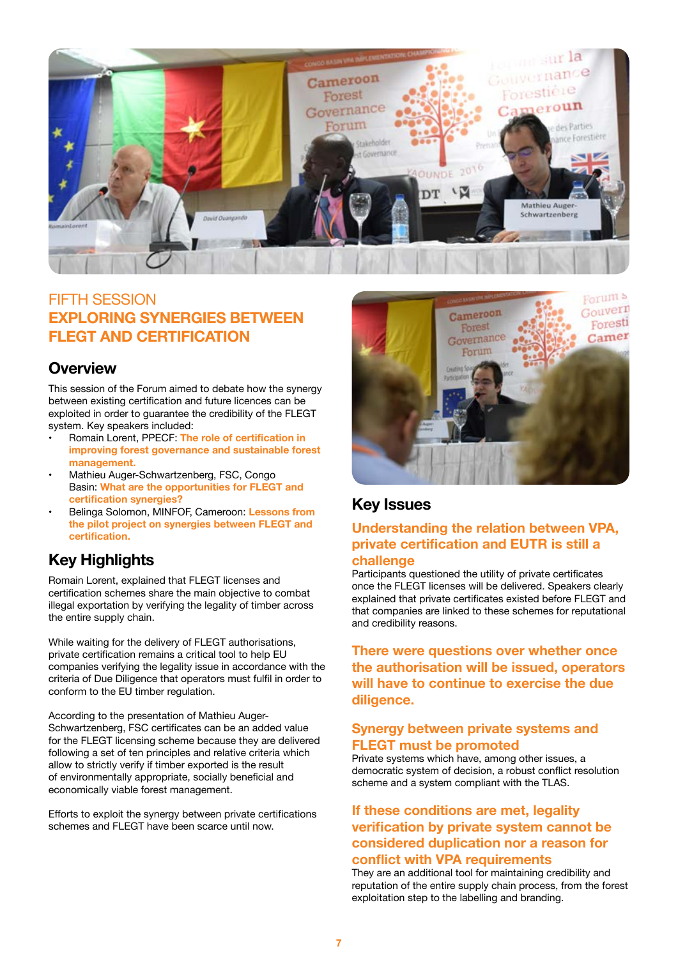

## FIFTH SESSION **EXPLORING SYNERGIES BETWEEN FLEGT AND CERTIFICATION**

#### **Overview**

This session of the Forum aimed to debate how the synergy between existing certification and future licences can be exploited in order to guarantee the credibility of the FLEGT system. Key speakers included:

- Romain Lorent, PPECF: **The role of certification in improving forest governance and sustainable forest management.**
- Mathieu Auger-Schwartzenberg, FSC, Congo Basin: **What are the opportunities for FLEGT and certification synergies?**
- Belinga Solomon, MINFOF, Cameroon: **Lessons from the pilot project on synergies between FLEGT and certification.**

## **Key Highlights**

Romain Lorent, explained that FLEGT licenses and certification schemes share the main objective to combat illegal exportation by verifying the legality of timber across the entire supply chain.

While waiting for the delivery of FLEGT authorisations, private certification remains a critical tool to help EU companies verifying the legality issue in accordance with the criteria of Due Diligence that operators must fulfil in order to conform to the EU timber regulation.

According to the presentation of Mathieu Auger-Schwartzenberg, FSC certificates can be an added value for the FLEGT licensing scheme because they are delivered following a set of ten principles and relative criteria which allow to strictly verify if timber exported is the result of environmentally appropriate, socially beneficial and economically viable forest management.

Efforts to exploit the synergy between private certifications schemes and FLEGT have been scarce until now.



## **Key Issues**

#### **Understanding the relation between VPA, private certification and EUTR is still a challenge**

Participants questioned the utility of private certificates once the FLEGT licenses will be delivered. Speakers clearly explained that private certificates existed before FLEGT and that companies are linked to these schemes for reputational and credibility reasons.

**There were questions over whether once the authorisation will be issued, operators will have to continue to exercise the due diligence.**

#### **Synergy between private systems and FLEGT must be promoted**

Private systems which have, among other issues, a democratic system of decision, a robust conflict resolution scheme and a system compliant with the TLAS.

#### **If these conditions are met, legality verification by private system cannot be considered duplication nor a reason for conflict with VPA requirements**

They are an additional tool for maintaining credibility and reputation of the entire supply chain process, from the forest exploitation step to the labelling and branding.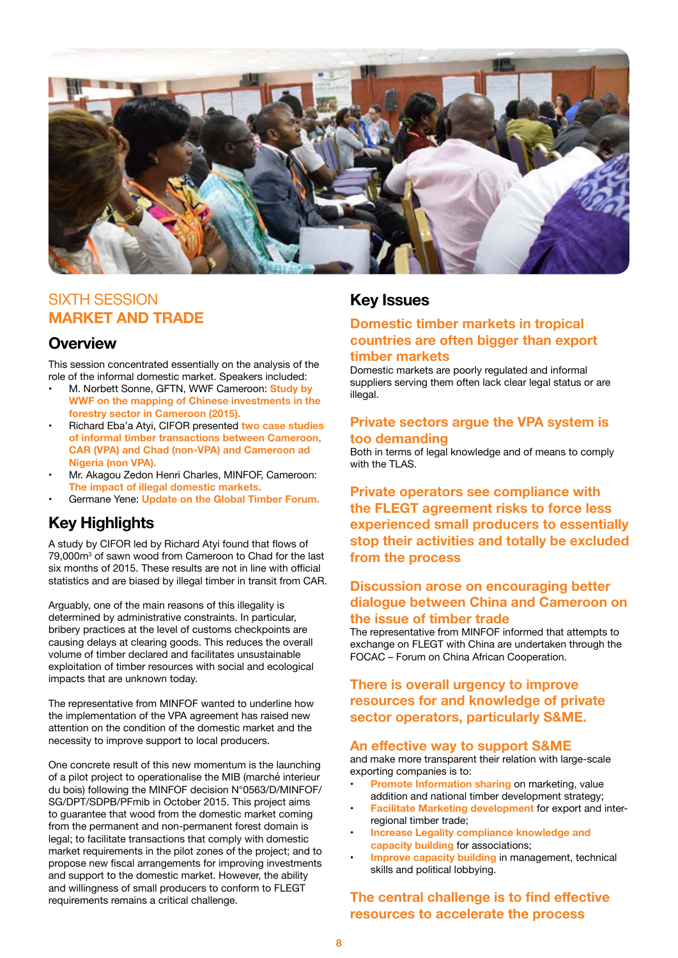

## SIXTH SESSION **MARKET AND TRADE**

#### **Overview**

This session concentrated essentially on the analysis of the role of the informal domestic market. Speakers included:

- M. Norbett Sonne, GFTN, WWF Cameroon: **Study by WWF on the mapping of Chinese investments in the forestry sector in Cameroon (2015).**
- Richard Eba'a Atyi, CIFOR presented **two case studies of informal timber transactions between Cameroon, CAR (VPA) and Chad (non-VPA) and Cameroon ad Nigeria (non VPA).**
- Mr. Akagou Zedon Henri Charles, MINFOF, Cameroon: **The impact of illegal domestic markets.**
- Germane Yene: **Update on the Global Timber Forum.**

## **Key Highlights**

A study by CIFOR led by Richard Atyi found that flows of 79,000m<sup>3</sup> of sawn wood from Cameroon to Chad for the last six months of 2015. These results are not in line with official statistics and are biased by illegal timber in transit from CAR.

Arguably, one of the main reasons of this illegality is determined by administrative constraints. In particular, bribery practices at the level of customs checkpoints are causing delays at clearing goods. This reduces the overall volume of timber declared and facilitates unsustainable exploitation of timber resources with social and ecological impacts that are unknown today.

The representative from MINFOF wanted to underline how the implementation of the VPA agreement has raised new attention on the condition of the domestic market and the necessity to improve support to local producers.

One concrete result of this new momentum is the launching of a pilot project to operationalise the MIB (marché interieur du bois) following the MINFOF decision N°0563/D/MINFOF/ SG/DPT/SDPB/PFmib in October 2015. This project aims to guarantee that wood from the domestic market coming from the permanent and non-permanent forest domain is legal; to facilitate transactions that comply with domestic market requirements in the pilot zones of the project; and to propose new fiscal arrangements for improving investments and support to the domestic market. However, the ability and willingness of small producers to conform to FLEGT requirements remains a critical challenge.

#### **Key Issues**

#### **Domestic timber markets in tropical countries are often bigger than export timber markets**

Domestic markets are poorly regulated and informal suppliers serving them often lack clear legal status or are illegal.

#### **Private sectors argue the VPA system is too demanding**

Both in terms of legal knowledge and of means to comply with the TLAS.

**Private operators see compliance with the FLEGT agreement risks to force less experienced small producers to essentially stop their activities and totally be excluded from the process**

#### **Discussion arose on encouraging better dialogue between China and Cameroon on the issue of timber trade**

The representative from MINFOF informed that attempts to exchange on FLEGT with China are undertaken through the FOCAC – Forum on China African Cooperation.

#### **There is overall urgency to improve resources for and knowledge of private sector operators, particularly S&ME.**

#### **An effective way to support S&ME**

and make more transparent their relation with large-scale exporting companies is to:

- **Promote Information sharing** on marketing, value addition and national timber development strategy;
- **Facilitate Marketing development** for export and interregional timber trade;
- **Increase Legality compliance knowledge and capacity building** for associations;
- **Improve capacity building in management, technical** skills and political lobbying.

#### **The central challenge is to find effective resources to accelerate the process**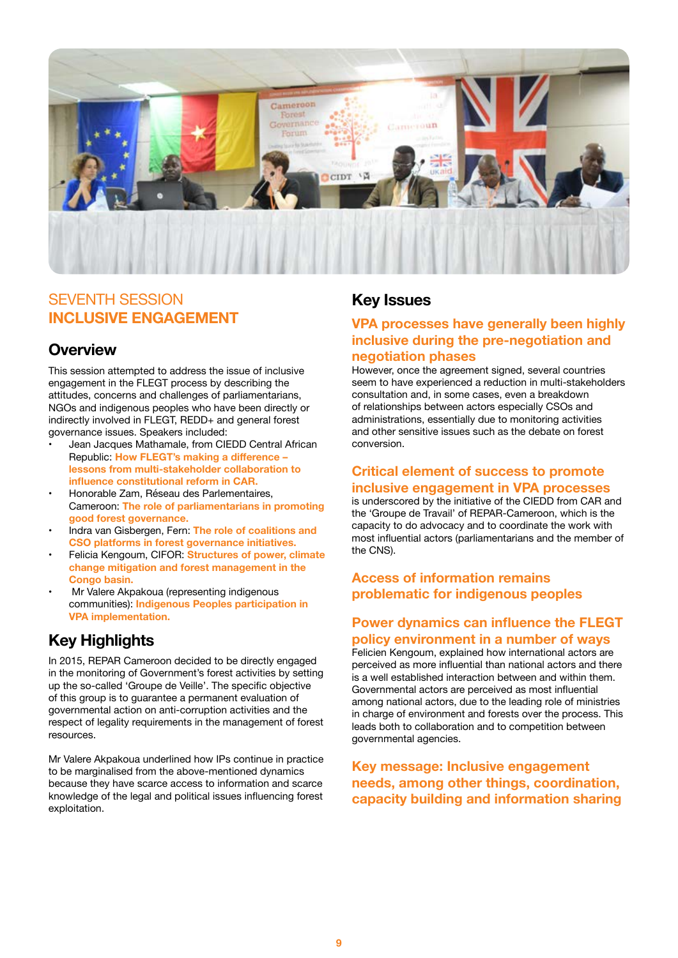

#### SEVENTH SESSION **INCLUSIVE ENGAGEMENT**

#### **Overview**

This session attempted to address the issue of inclusive engagement in the FLEGT process by describing the attitudes, concerns and challenges of parliamentarians, NGOs and indigenous peoples who have been directly or indirectly involved in FLEGT, REDD+ and general forest governance issues. Speakers included:

- Jean Jacques Mathamale, from CIEDD Central African Republic: **How FLEGT's making a difference – lessons from multi-stakeholder collaboration to influence constitutional reform in CAR.**
- Honorable Zam, Réseau des Parlementaires, Cameroon: **The role of parliamentarians in promoting good forest governance.**
- Indra van Gisbergen, Fern: **The role of coalitions and CSO platforms in forest governance initiatives.**
- Felicia Kengoum, CIFOR: **Structures of power, climate change mitigation and forest management in the Congo basin.**
- Mr Valere Akpakoua (representing indigenous communities): **Indigenous Peoples participation in VPA implementation.**

## **Key Highlights**

In 2015, REPAR Cameroon decided to be directly engaged in the monitoring of Government's forest activities by setting up the so-called 'Groupe de Veille'. The specific objective of this group is to guarantee a permanent evaluation of governmental action on anti-corruption activities and the respect of legality requirements in the management of forest resources.

Mr Valere Akpakoua underlined how IPs continue in practice to be marginalised from the above-mentioned dynamics because they have scarce access to information and scarce knowledge of the legal and political issues influencing forest exploitation.

#### **Key Issues**

#### **VPA processes have generally been highly inclusive during the pre-negotiation and negotiation phases**

However, once the agreement signed, several countries seem to have experienced a reduction in multi-stakeholders consultation and, in some cases, even a breakdown of relationships between actors especially CSOs and administrations, essentially due to monitoring activities and other sensitive issues such as the debate on forest conversion.

#### **Critical element of success to promote inclusive engagement in VPA processes**

is underscored by the initiative of the CIEDD from CAR and the 'Groupe de Travail' of REPAR-Cameroon, which is the capacity to do advocacy and to coordinate the work with most influential actors (parliamentarians and the member of the CNS).

#### **Access of information remains problematic for indigenous peoples**

#### **Power dynamics can influence the FLEGT policy environment in a number of ways**

Felicien Kengoum, explained how international actors are perceived as more influential than national actors and there is a well established interaction between and within them. Governmental actors are perceived as most influential among national actors, due to the leading role of ministries in charge of environment and forests over the process. This leads both to collaboration and to competition between governmental agencies.

**Key message: Inclusive engagement needs, among other things, coordination, capacity building and information sharing**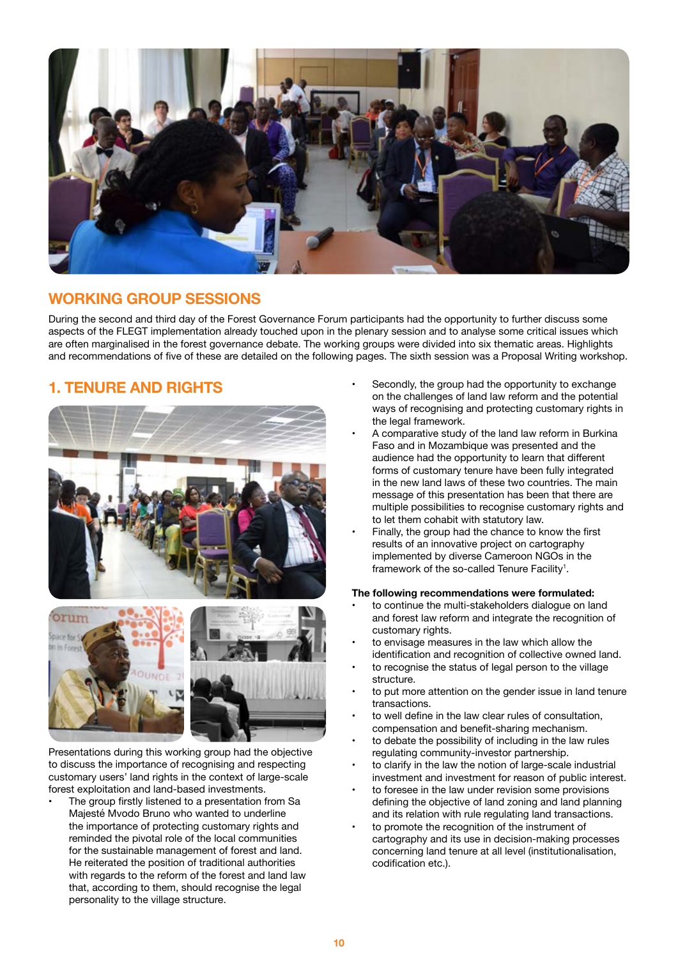

## **WORKING GROUP SESSIONS**

During the second and third day of the Forest Governance Forum participants had the opportunity to further discuss some aspects of the FLEGT implementation already touched upon in the plenary session and to analyse some critical issues which are often marginalised in the forest governance debate. The working groups were divided into six thematic areas. Highlights and recommendations of five of these are detailed on the following pages. The sixth session was a Proposal Writing workshop.

## **1. TENURE AND RIGHTS**



Presentations during this working group had the objective to discuss the importance of recognising and respecting customary users' land rights in the context of large-scale forest exploitation and land-based investments.

The group firstly listened to a presentation from Sa Majesté Mvodo Bruno who wanted to underline the importance of protecting customary rights and reminded the pivotal role of the local communities for the sustainable management of forest and land. He reiterated the position of traditional authorities with regards to the reform of the forest and land law that, according to them, should recognise the legal personality to the village structure.

- Secondly, the group had the opportunity to exchange on the challenges of land law reform and the potential ways of recognising and protecting customary rights in the legal framework.
- A comparative study of the land law reform in Burkina Faso and in Mozambique was presented and the audience had the opportunity to learn that different forms of customary tenure have been fully integrated in the new land laws of these two countries. The main message of this presentation has been that there are multiple possibilities to recognise customary rights and to let them cohabit with statutory law.
- Finally, the group had the chance to know the first results of an innovative project on cartography implemented by diverse Cameroon NGOs in the framework of the so-called Tenure Facility<sup>1</sup>.

#### **The following recommendations were formulated:**

- to continue the multi-stakeholders dialogue on land and forest law reform and integrate the recognition of customary rights.
- to envisage measures in the law which allow the identification and recognition of collective owned land.
- to recognise the status of legal person to the village structure.
- to put more attention on the gender issue in land tenure transactions.
- to well define in the law clear rules of consultation. compensation and benefit-sharing mechanism.
- to debate the possibility of including in the law rules regulating community-investor partnership.
- to clarify in the law the notion of large-scale industrial investment and investment for reason of public interest.
- to foresee in the law under revision some provisions defining the objective of land zoning and land planning and its relation with rule regulating land transactions.
- to promote the recognition of the instrument of cartography and its use in decision-making processes concerning land tenure at all level (institutionalisation, codification etc.).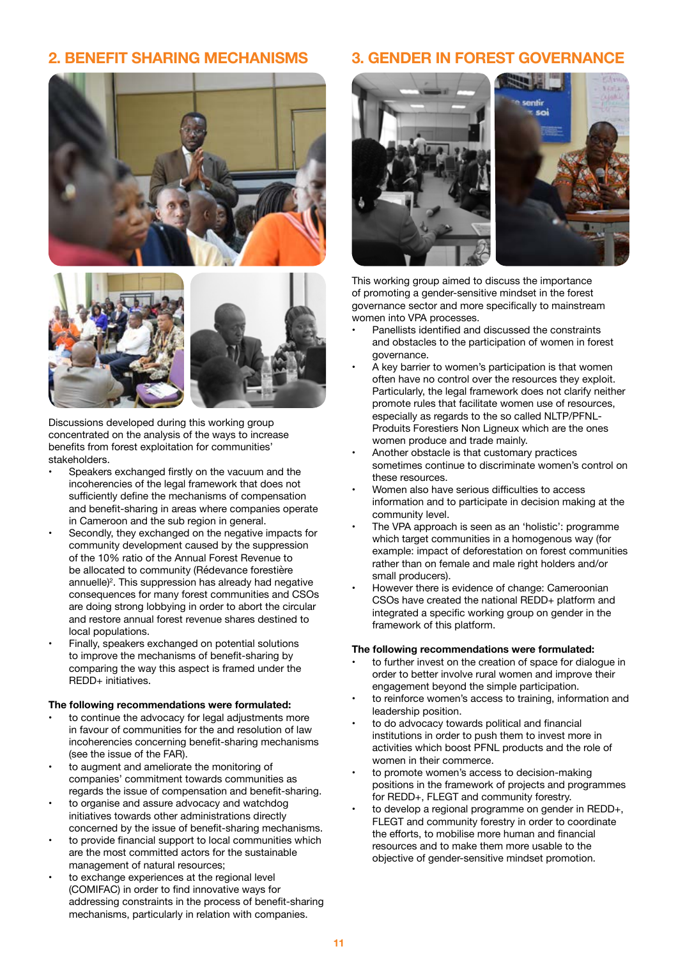## **2. BENEFIT SHARING MECHANISMS**





Discussions developed during this working group concentrated on the analysis of the ways to increase benefits from forest exploitation for communities' stakeholders.

- Speakers exchanged firstly on the vacuum and the incoherencies of the legal framework that does not sufficiently define the mechanisms of compensation and benefit-sharing in areas where companies operate in Cameroon and the sub region in general.
- Secondly, they exchanged on the negative impacts for community development caused by the suppression of the 10% ratio of the Annual Forest Revenue to be allocated to community (Rédevance forestière annuelle)<sup>2</sup> . This suppression has already had negative consequences for many forest communities and CSOs are doing strong lobbying in order to abort the circular and restore annual forest revenue shares destined to local populations.
- Finally, speakers exchanged on potential solutions to improve the mechanisms of benefit-sharing by comparing the way this aspect is framed under the REDD+ initiatives.

#### **The following recommendations were formulated:**

- to continue the advocacy for legal adjustments more in favour of communities for the and resolution of law incoherencies concerning benefit-sharing mechanisms (see the issue of the FAR).
- to augment and ameliorate the monitoring of companies' commitment towards communities as regards the issue of compensation and benefit-sharing.
- to organise and assure advocacy and watchdog initiatives towards other administrations directly concerned by the issue of benefit-sharing mechanisms.
- to provide financial support to local communities which are the most committed actors for the sustainable management of natural resources;
- to exchange experiences at the regional level (COMIFAC) in order to find innovative ways for addressing constraints in the process of benefit-sharing mechanisms, particularly in relation with companies.

#### **3. GENDER IN FOREST GOVERNANCE**



This working group aimed to discuss the importance of promoting a gender-sensitive mindset in the forest governance sector and more specifically to mainstream women into VPA processes.

- Panellists identified and discussed the constraints and obstacles to the participation of women in forest governance.
- A key barrier to women's participation is that women often have no control over the resources they exploit. Particularly, the legal framework does not clarify neither promote rules that facilitate women use of resources, especially as regards to the so called NLTP/PFNL-Produits Forestiers Non Ligneux which are the ones women produce and trade mainly.
- Another obstacle is that customary practices sometimes continue to discriminate women's control on these resources.
- Women also have serious difficulties to access information and to participate in decision making at the community level.
- The VPA approach is seen as an 'holistic': programme which target communities in a homogenous way (for example: impact of deforestation on forest communities rather than on female and male right holders and/or small producers).
- However there is evidence of change: Cameroonian CSOs have created the national REDD+ platform and integrated a specific working group on gender in the framework of this platform.

#### **The following recommendations were formulated:**

- to further invest on the creation of space for dialogue in order to better involve rural women and improve their engagement beyond the simple participation.
- to reinforce women's access to training, information and leadership position.
- to do advocacy towards political and financial institutions in order to push them to invest more in activities which boost PFNL products and the role of women in their commerce.
- to promote women's access to decision-making positions in the framework of projects and programmes for REDD+, FLEGT and community forestry.
- to develop a regional programme on gender in REDD+, FLEGT and community forestry in order to coordinate the efforts, to mobilise more human and financial resources and to make them more usable to the objective of gender-sensitive mindset promotion.